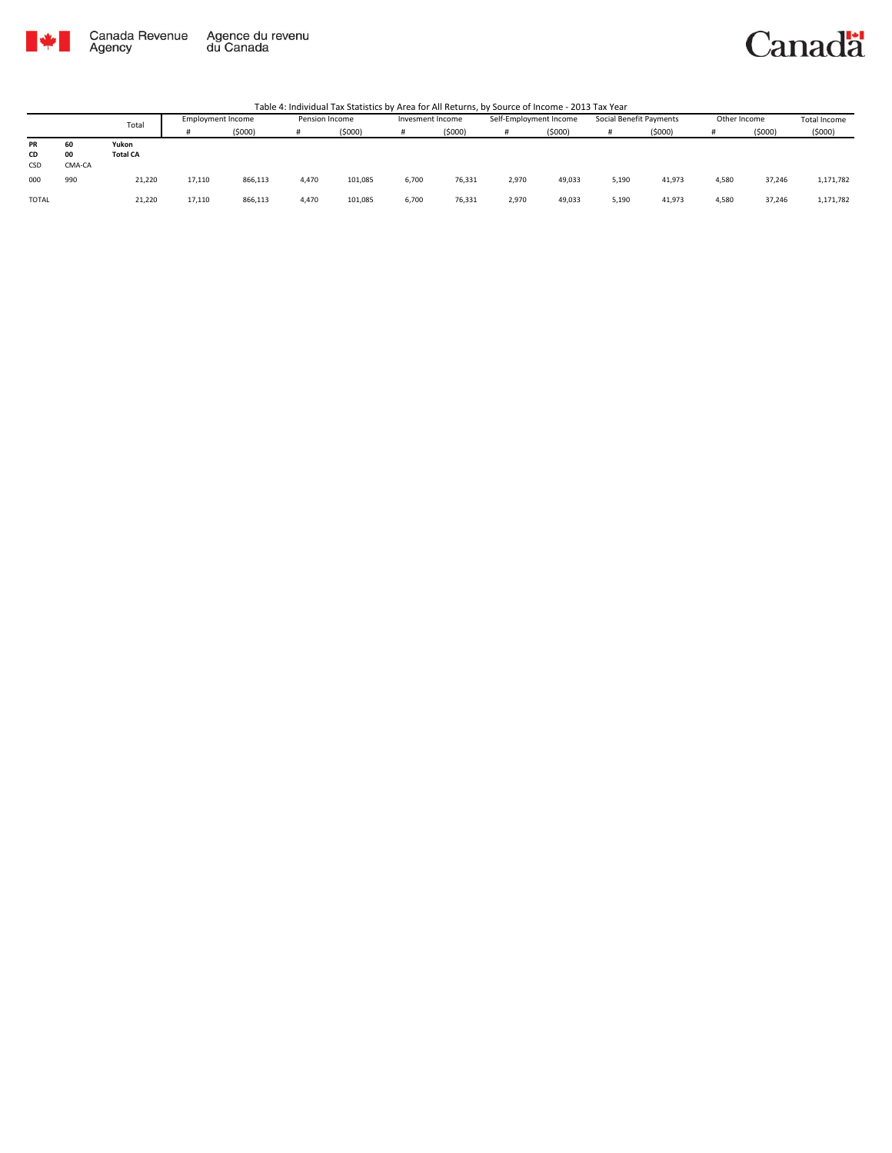

Canada Revenue<br>Agency Agence du revenu<br>du Canada

## Canadä

Table 4: Individual Tax Statistics by Area for All Returns, by Source of Income - 2013 Tax Year

|           |        | Total           | <b>Employment Income</b> |         | Pension Income |         | Invesment Income |        | Self-Employment Income |        | Social Benefit Payments |        | Other Income |        | Total Income |
|-----------|--------|-----------------|--------------------------|---------|----------------|---------|------------------|--------|------------------------|--------|-------------------------|--------|--------------|--------|--------------|
|           |        |                 |                          | (5000)  | Ħ              | (5000)  |                  | (5000) |                        | (5000) | Ħ                       | (5000) |              | (5000) | (5000)       |
| <b>PR</b> | 60     | Yukon           |                          |         |                |         |                  |        |                        |        |                         |        |              |        |              |
| CD        | 00     | <b>Total CA</b> |                          |         |                |         |                  |        |                        |        |                         |        |              |        |              |
| CSD       | CMA-CA |                 |                          |         |                |         |                  |        |                        |        |                         |        |              |        |              |
| 000       | 990    | 21,220          | 17,110                   | 866,113 | 4,470          | 101,085 | 6.700            | 76,331 | 2,970                  | 49,033 | 5,190                   | 41,973 | 4.580        | 37,246 | 1,171,782    |
| TOTAL     |        | 21,220          | 17,110                   | 866,113 | 4,470          | 101,085 | 6,700            | 76,331 | 2,970                  | 49,033 | 5,190                   | 41,973 | 4.580        | 37,246 | 1,171,782    |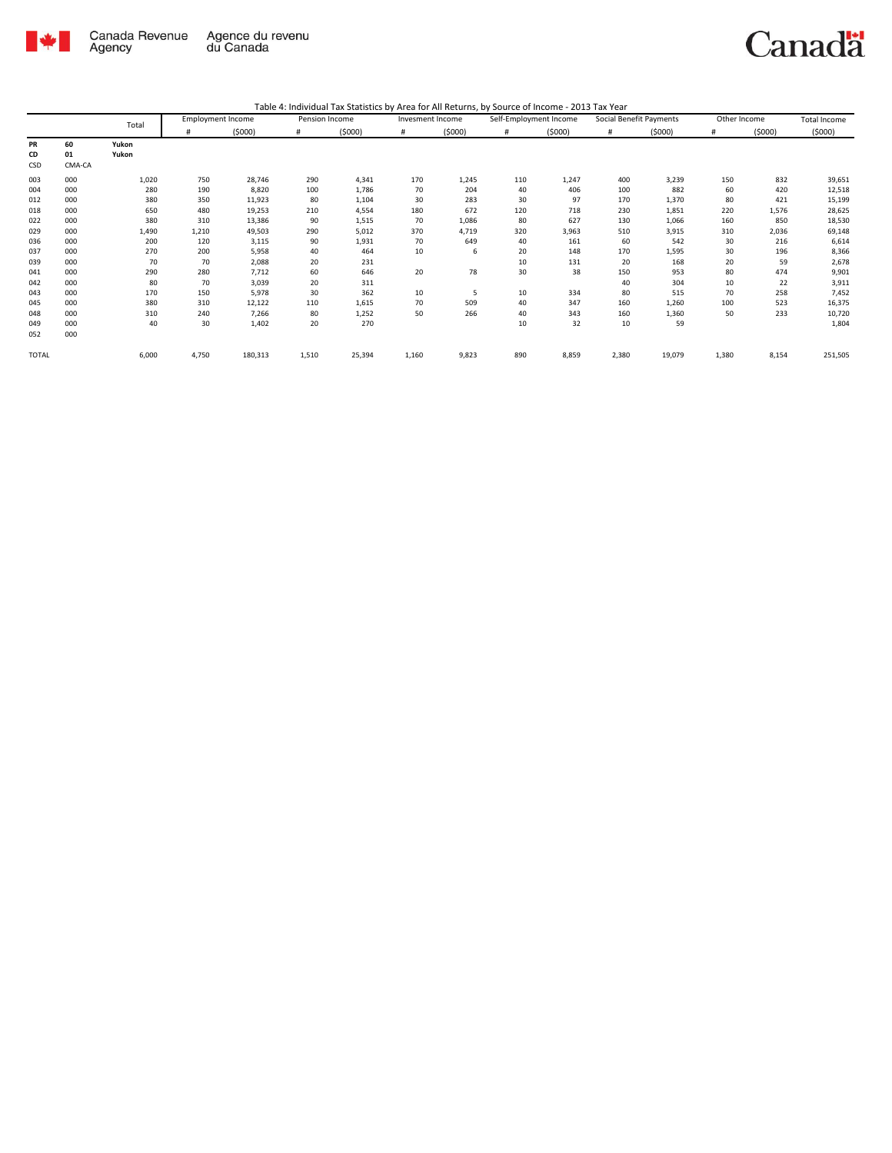

## Canadä

Table 4: Individual Tax Statistics by Area for All Returns, by Source of Income - 2013 Tax Year

|              |        | Total | <b>Employment Income</b> |         | Pension Income |        | Invesment Income |        | Self-Employment Income |        | Social Benefit Payments |        | Other Income |        | <b>Total Income</b> |
|--------------|--------|-------|--------------------------|---------|----------------|--------|------------------|--------|------------------------|--------|-------------------------|--------|--------------|--------|---------------------|
|              |        |       | #                        | (5000)  | #              | (5000) | #                | (5000) | #                      | (5000) | #                       | (5000) | #            | (5000) | (5000)              |
| PR           | 60     | Yukon |                          |         |                |        |                  |        |                        |        |                         |        |              |        |                     |
| CD           | 01     | Yukon |                          |         |                |        |                  |        |                        |        |                         |        |              |        |                     |
| CSD          | CMA-CA |       |                          |         |                |        |                  |        |                        |        |                         |        |              |        |                     |
| 003          | 000    | 1,020 | 750                      | 28,746  | 290            | 4,341  | 170              | 1,245  | 110                    | 1,247  | 400                     | 3,239  | 150          | 832    | 39,651              |
| 004          | 000    | 280   | 190                      | 8,820   | 100            | 1,786  | 70               | 204    | 40                     | 406    | 100                     | 882    | 60           | 420    | 12,518              |
| 012          | 000    | 380   | 350                      | 11,923  | 80             | 1,104  | 30               | 283    | 30                     | 97     | 170                     | 1,370  | 80           | 421    | 15,199              |
| 018          | 000    | 650   | 480                      | 19,253  | 210            | 4,554  | 180              | 672    | 120                    | 718    | 230                     | 1,851  | 220          | 1,576  | 28,625              |
| 022          | 000    | 380   | 310                      | 13,386  | 90             | 1,515  | 70               | 1,086  | 80                     | 627    | 130                     | 1,066  | 160          | 850    | 18,530              |
| 029          | 000    | 1,490 | 1,210                    | 49,503  | 290            | 5,012  | 370              | 4,719  | 320                    | 3,963  | 510                     | 3,915  | 310          | 2,036  | 69,148              |
| 036          | 000    | 200   | 120                      | 3,115   | 90             | 1,931  | 70               | 649    | 40                     | 161    | 60                      | 542    | 30           | 216    | 6,614               |
| 037          | 000    | 270   | 200                      | 5,958   | 40             | 464    | 10               | 6      | 20                     | 148    | 170                     | 1,595  | 30           | 196    | 8,366               |
| 039          | 000    | 70    | 70                       | 2,088   | 20             | 231    |                  |        | 10                     | 131    | 20                      | 168    | 20           | 59     | 2,678               |
| 041          | 000    | 290   | 280                      | 7,712   | 60             | 646    | 20               | 78     | 30                     | 38     | 150                     | 953    | 80           | 474    | 9,901               |
| 042          | 000    | 80    | 70                       | 3,039   | 20             | 311    |                  |        |                        |        | 40                      | 304    | 10           | 22     | 3,911               |
| 043          | 000    | 170   | 150                      | 5,978   | 30             | 362    | 10               | 5      | 10                     | 334    | 80                      | 515    | 70           | 258    | 7,452               |
| 045          | 000    | 380   | 310                      | 12,122  | 110            | 1,615  | 70               | 509    | 40                     | 347    | 160                     | 1,260  | 100          | 523    | 16,375              |
| 048          | 000    | 310   | 240                      | 7,266   | 80             | 1,252  | 50               | 266    | 40                     | 343    | 160                     | 1,360  | 50           | 233    | 10,720              |
| 049          | 000    | 40    | 30                       | 1,402   | 20             | 270    |                  |        | 10                     | 32     | 10                      | 59     |              |        | 1,804               |
| 052          | 000    |       |                          |         |                |        |                  |        |                        |        |                         |        |              |        |                     |
| <b>TOTAL</b> |        | 6,000 | 4,750                    | 180,313 | 1,510          | 25,394 | 1,160            | 9,823  | 890                    | 8,859  | 2,380                   | 19,079 | 1,380        | 8,154  | 251,505             |